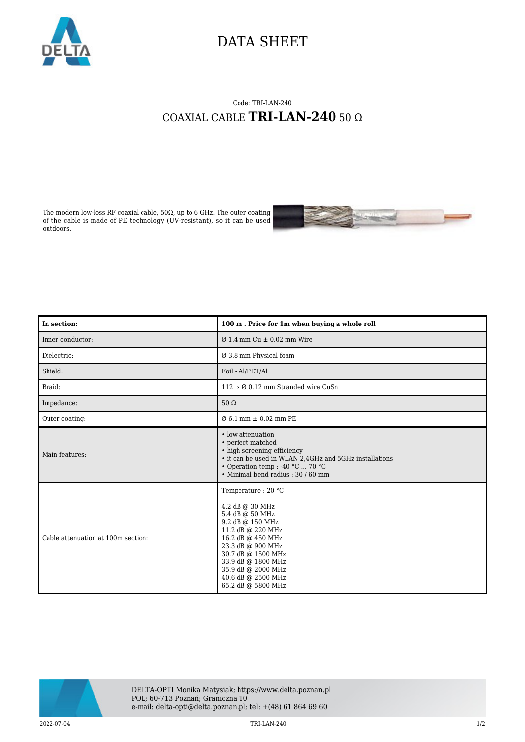

## DATA SHEET

## Code: TRI-LAN-240 COAXIAL CABLE **TRI-LAN-240** 50 Ω

The modern low-loss RF coaxial cable, 50Ω, up to 6 GHz. The outer coating of the cable is made of PE technology (UV-resistant), so it can be used outdoors.



| In section:                        | 100 m. Price for 1m when buying a whole roll                                                                                                                                                                                                              |
|------------------------------------|-----------------------------------------------------------------------------------------------------------------------------------------------------------------------------------------------------------------------------------------------------------|
| Inner conductor:                   | $\varnothing$ 1.4 mm Cu $\pm$ 0.02 mm Wire                                                                                                                                                                                                                |
| Dielectric:                        | Ø 3.8 mm Physical foam                                                                                                                                                                                                                                    |
| Shield:                            | Foil - Al/PET/Al                                                                                                                                                                                                                                          |
| Braid:                             | 112 x Ø 0.12 mm Stranded wire CuSn                                                                                                                                                                                                                        |
| Impedance:                         | $50 \Omega$                                                                                                                                                                                                                                               |
| Outer coating:                     | $\varnothing$ 6.1 mm $\pm$ 0.02 mm PE                                                                                                                                                                                                                     |
| Main features:                     | • low attenuation<br>• perfect matched<br>• high screening efficiency<br>• it can be used in WLAN 2,4GHz and 5GHz installations<br>• Operation temp : -40 °C  70 °C<br>• Minimal bend radius: 30 / 60 mm                                                  |
| Cable attenuation at 100m section: | Temperature: 20 °C<br>4.2 dB @ 30 MHz<br>5.4 dB @ 50 MHz<br>9.2 dB @ 150 MHz<br>11.2 dB @ 220 MHz<br>16.2 dB @ 450 MHz<br>23.3 dB @ 900 MHz<br>30.7 dB @ 1500 MHz<br>33.9 dB @ 1800 MHz<br>35.9 dB @ 2000 MHz<br>40.6 dB @ 2500 MHz<br>65.2 dB @ 5800 MHz |